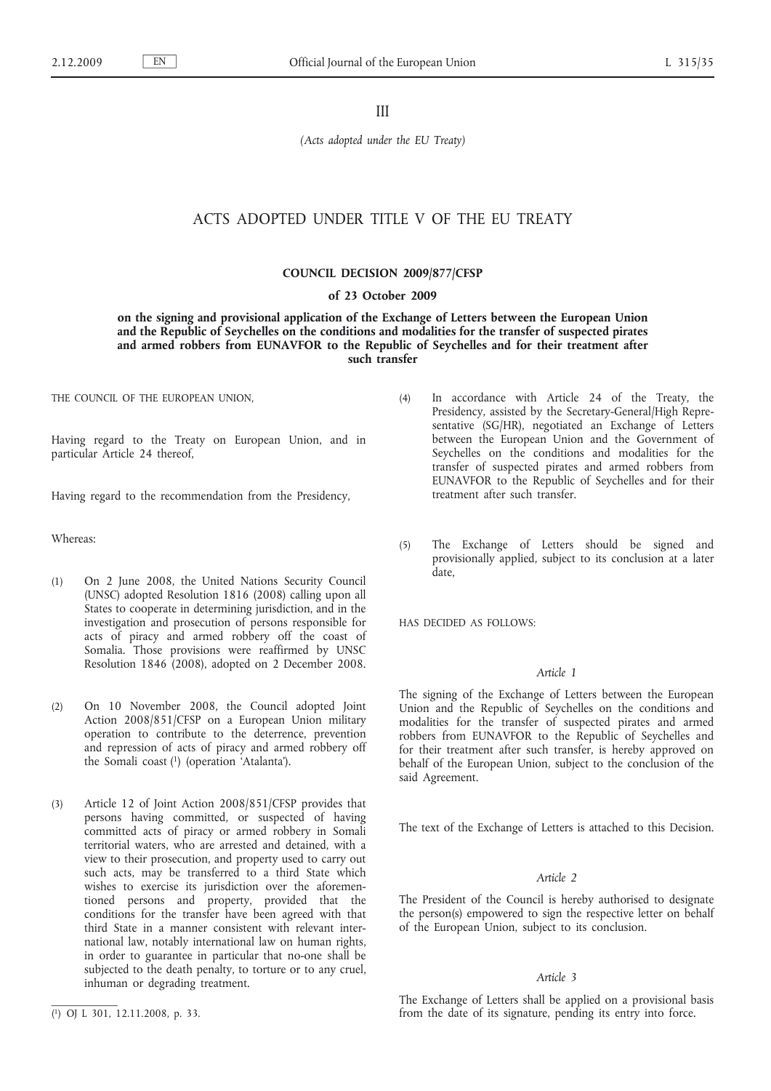III

*(Acts adopted under the EU Treaty)*

# ACTS ADOPTED UNDER TITLE V OF THE EU TREATY

## **COUNCIL DECISION 2009/877/CFSP**

#### **of 23 October 2009**

**on the signing and provisional application of the Exchange of Letters between the European Union and the Republic of Seychelles on the conditions and modalities for the transfer of suspected pirates and armed robbers from EUNAVFOR to the Republic of Seychelles and for their treatment after such transfer**

THE COUNCIL OF THE EUROPEAN UNION,

Having regard to the Treaty on European Union, and in particular Article 24 thereof,

Having regard to the recommendation from the Presidency,

Whereas:

- (1) On 2 June 2008, the United Nations Security Council (UNSC) adopted Resolution 1816 (2008) calling upon all States to cooperate in determining jurisdiction, and in the investigation and prosecution of persons responsible for acts of piracy and armed robbery off the coast of Somalia. Those provisions were reaffirmed by UNSC Resolution 1846 (2008), adopted on 2 December 2008.
- (2) On 10 November 2008, the Council adopted Joint Action 2008/851/CFSP on a European Union military operation to contribute to the deterrence, prevention and repression of acts of piracy and armed robbery off the Somali coast (1) (operation 'Atalanta').
- (3) Article 12 of Joint Action 2008/851/CFSP provides that persons having committed, or suspected of having committed acts of piracy or armed robbery in Somali territorial waters, who are arrested and detained, with a view to their prosecution, and property used to carry out such acts, may be transferred to a third State which wishes to exercise its jurisdiction over the aforementioned persons and property, provided that the conditions for the transfer have been agreed with that third State in a manner consistent with relevant international law, notably international law on human rights, in order to guarantee in particular that no-one shall be subjected to the death penalty, to torture or to any cruel, inhuman or degrading treatment.
- (4) In accordance with Article 24 of the Treaty, the Presidency, assisted by the Secretary-General/High Representative (SG/HR), negotiated an Exchange of Letters between the European Union and the Government of Seychelles on the conditions and modalities for the transfer of suspected pirates and armed robbers from EUNAVFOR to the Republic of Seychelles and for their treatment after such transfer.
- (5) The Exchange of Letters should be signed and provisionally applied, subject to its conclusion at a later date,

HAS DECIDED AS FOLLOWS:

## *Article 1*

The signing of the Exchange of Letters between the European Union and the Republic of Seychelles on the conditions and modalities for the transfer of suspected pirates and armed robbers from EUNAVFOR to the Republic of Seychelles and for their treatment after such transfer, is hereby approved on behalf of the European Union, subject to the conclusion of the said Agreement.

The text of the Exchange of Letters is attached to this Decision.

#### *Article 2*

The President of the Council is hereby authorised to designate the person(s) empowered to sign the respective letter on behalf of the European Union, subject to its conclusion.

#### *Article 3*

The Exchange of Letters shall be applied on a provisional basis from the date of its signature, pending its entry into force.

<sup>(</sup> 1) OJ L 301, 12.11.2008, p. 33.